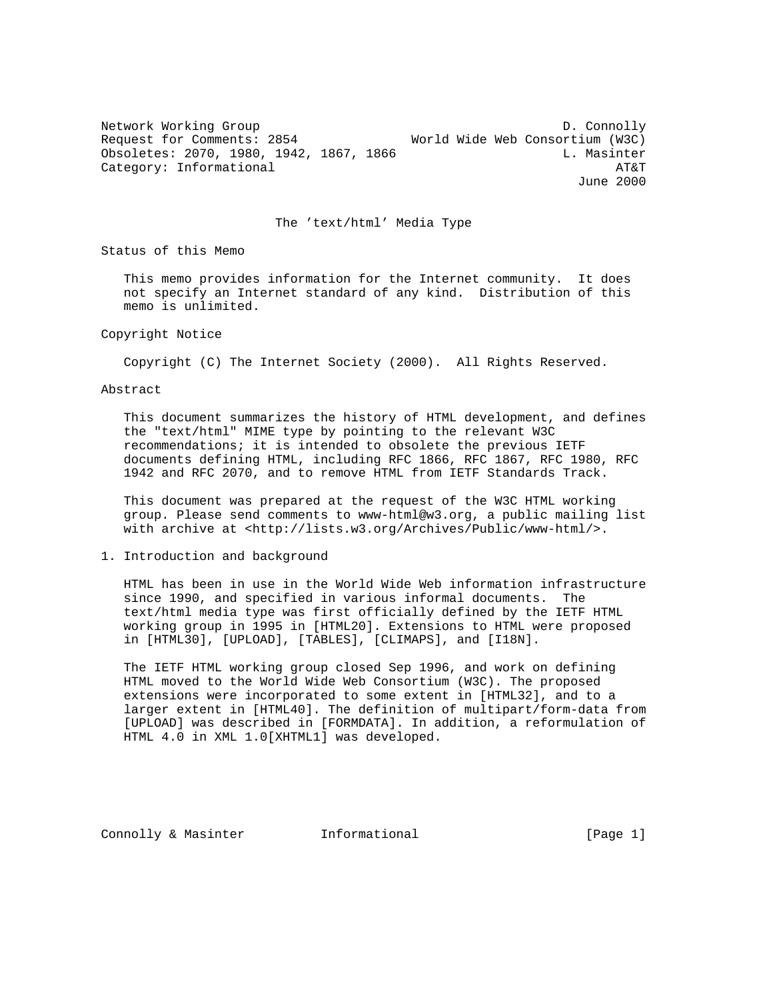Network Working Group and the connolly between the D. Connolly Request for Comments: 2854 World Wide Web Consortium (W3C) Obsoletes: 2070, 1980, 1942, 1867, 1866 L. Masinter Category: Informational and the contract of the contract of the contract of the contract of the contract of the contract of the contract of the contract of the contract of the contract of the contract of the contract of th June 2000

#### The 'text/html' Media Type

Status of this Memo

 This memo provides information for the Internet community. It does not specify an Internet standard of any kind. Distribution of this memo is unlimited.

Copyright Notice

Copyright (C) The Internet Society (2000). All Rights Reserved.

Abstract

 This document summarizes the history of HTML development, and defines the "text/html" MIME type by pointing to the relevant W3C recommendations; it is intended to obsolete the previous IETF documents defining HTML, including RFC 1866, RFC 1867, RFC 1980, RFC 1942 and RFC 2070, and to remove HTML from IETF Standards Track.

 This document was prepared at the request of the W3C HTML working group. Please send comments to www-html@w3.org, a public mailing list with archive at <http://lists.w3.org/Archives/Public/www-html/>.

1. Introduction and background

 HTML has been in use in the World Wide Web information infrastructure since 1990, and specified in various informal documents. The text/html media type was first officially defined by the IETF HTML working group in 1995 in [HTML20]. Extensions to HTML were proposed in [HTML30], [UPLOAD], [TABLES], [CLIMAPS], and [I18N].

 The IETF HTML working group closed Sep 1996, and work on defining HTML moved to the World Wide Web Consortium (W3C). The proposed extensions were incorporated to some extent in [HTML32], and to a larger extent in [HTML40]. The definition of multipart/form-data from [UPLOAD] was described in [FORMDATA]. In addition, a reformulation of HTML 4.0 in XML 1.0[XHTML1] was developed.

Connolly & Masinter **Informational** [Page 1]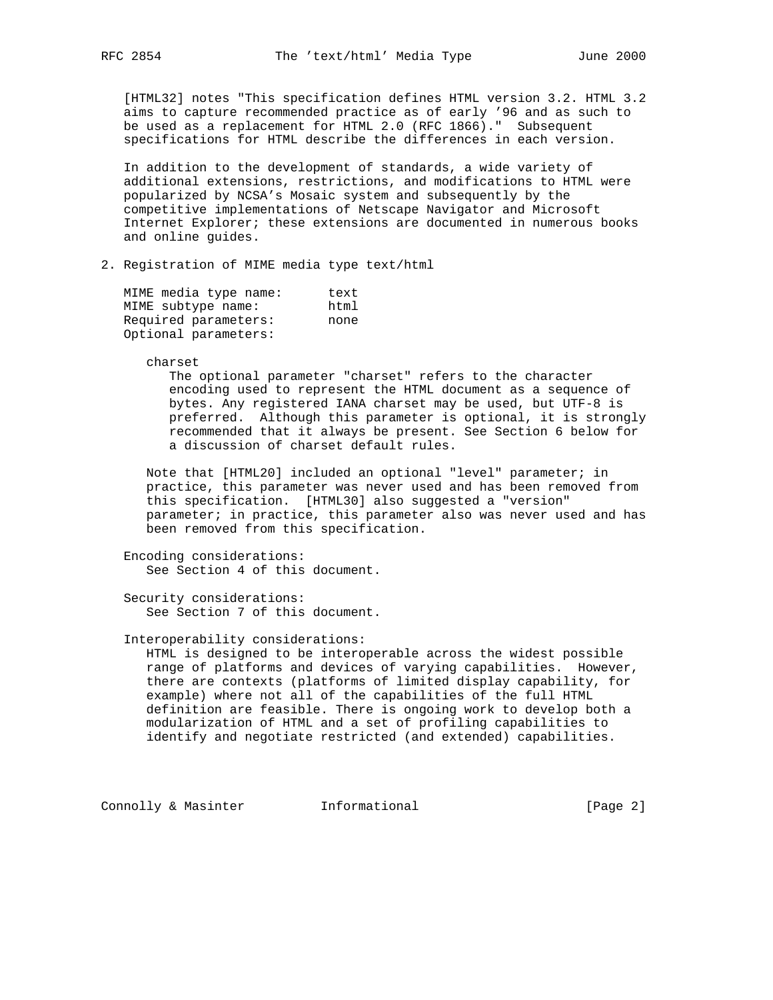[HTML32] notes "This specification defines HTML version 3.2. HTML 3.2 aims to capture recommended practice as of early '96 and as such to be used as a replacement for HTML 2.0 (RFC 1866)." Subsequent specifications for HTML describe the differences in each version.

 In addition to the development of standards, a wide variety of additional extensions, restrictions, and modifications to HTML were popularized by NCSA's Mosaic system and subsequently by the competitive implementations of Netscape Navigator and Microsoft Internet Explorer; these extensions are documented in numerous books and online guides.

## 2. Registration of MIME media type text/html

MIME media type name: text MIME subtype name: html Required parameters: none Optional parameters:

charset

 The optional parameter "charset" refers to the character encoding used to represent the HTML document as a sequence of bytes. Any registered IANA charset may be used, but UTF-8 is preferred. Although this parameter is optional, it is strongly recommended that it always be present. See Section 6 below for a discussion of charset default rules.

 Note that [HTML20] included an optional "level" parameter; in practice, this parameter was never used and has been removed from this specification. [HTML30] also suggested a "version" parameter; in practice, this parameter also was never used and has been removed from this specification.

 Encoding considerations: See Section 4 of this document.

 Security considerations: See Section 7 of this document.

## Interoperability considerations:

 HTML is designed to be interoperable across the widest possible range of platforms and devices of varying capabilities. However, there are contexts (platforms of limited display capability, for example) where not all of the capabilities of the full HTML definition are feasible. There is ongoing work to develop both a modularization of HTML and a set of profiling capabilities to identify and negotiate restricted (and extended) capabilities.

Connolly & Masinter **Informational** [Page 2]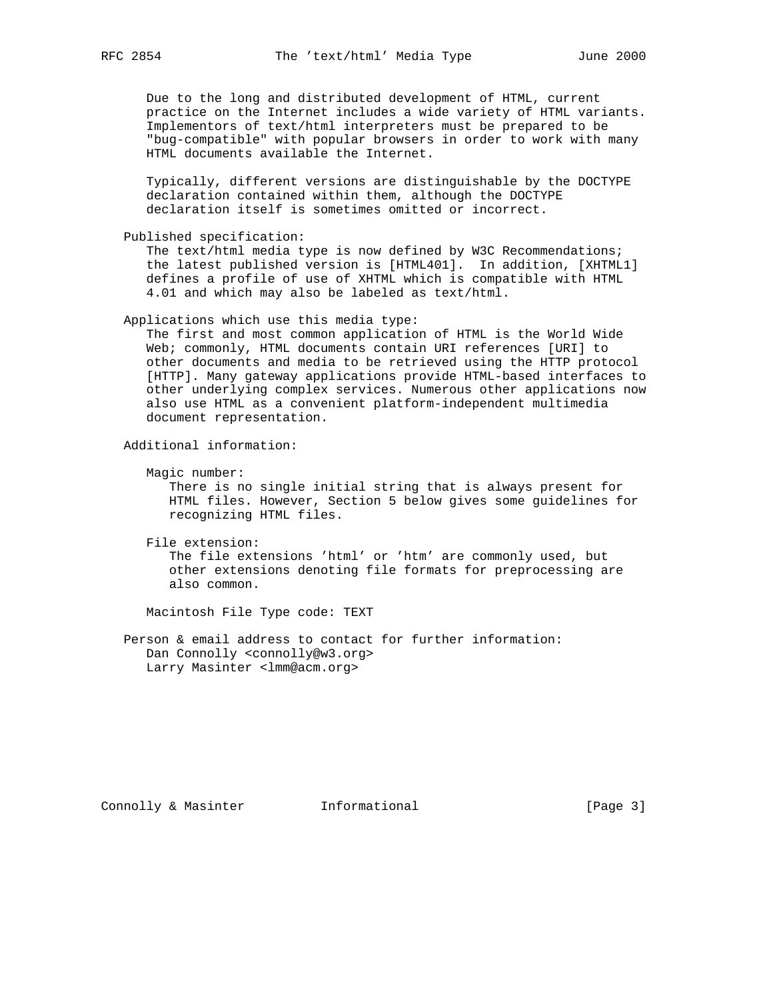Due to the long and distributed development of HTML, current practice on the Internet includes a wide variety of HTML variants. Implementors of text/html interpreters must be prepared to be "bug-compatible" with popular browsers in order to work with many HTML documents available the Internet.

 Typically, different versions are distinguishable by the DOCTYPE declaration contained within them, although the DOCTYPE declaration itself is sometimes omitted or incorrect.

Published specification:

 The text/html media type is now defined by W3C Recommendations; the latest published version is [HTML401]. In addition, [XHTML1] defines a profile of use of XHTML which is compatible with HTML 4.01 and which may also be labeled as text/html.

Applications which use this media type:

 The first and most common application of HTML is the World Wide Web; commonly, HTML documents contain URI references [URI] to other documents and media to be retrieved using the HTTP protocol [HTTP]. Many gateway applications provide HTML-based interfaces to other underlying complex services. Numerous other applications now also use HTML as a convenient platform-independent multimedia document representation.

Additional information:

Magic number:

 There is no single initial string that is always present for HTML files. However, Section 5 below gives some guidelines for recognizing HTML files.

File extension:

 The file extensions 'html' or 'htm' are commonly used, but other extensions denoting file formats for preprocessing are also common.

Macintosh File Type code: TEXT

 Person & email address to contact for further information: Dan Connolly <connolly@w3.org> Larry Masinter <lmm@acm.org>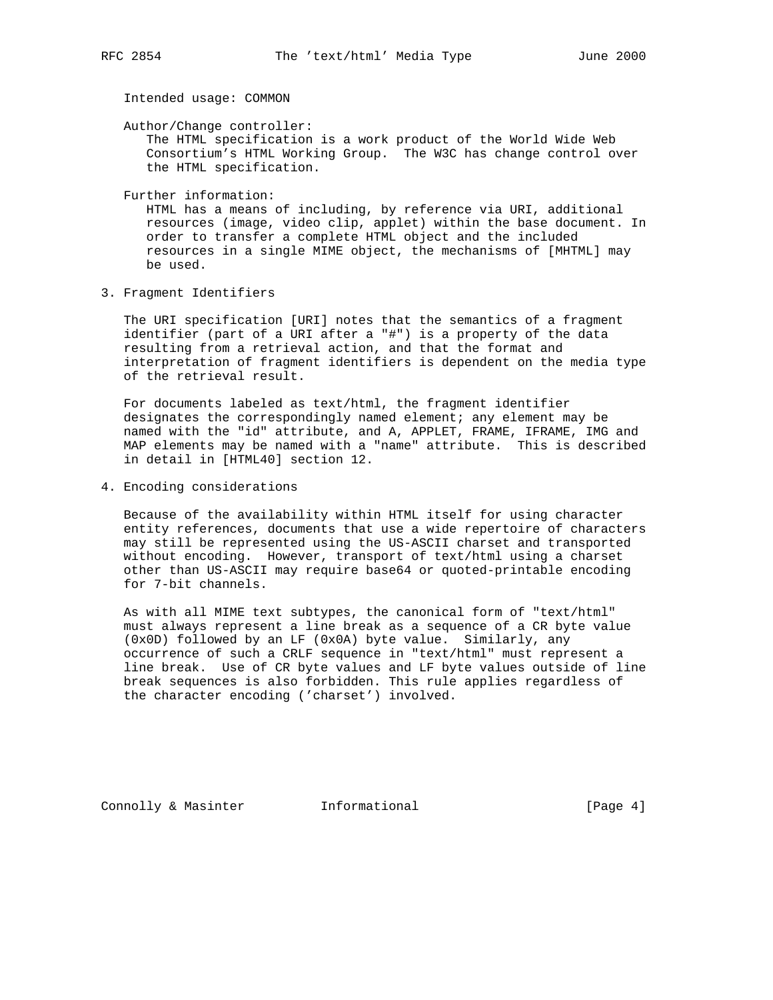Intended usage: COMMON

Author/Change controller:

 The HTML specification is a work product of the World Wide Web Consortium's HTML Working Group. The W3C has change control over the HTML specification.

Further information:

 HTML has a means of including, by reference via URI, additional resources (image, video clip, applet) within the base document. In order to transfer a complete HTML object and the included resources in a single MIME object, the mechanisms of [MHTML] may be used.

3. Fragment Identifiers

 The URI specification [URI] notes that the semantics of a fragment identifier (part of a URI after a "#") is a property of the data resulting from a retrieval action, and that the format and interpretation of fragment identifiers is dependent on the media type of the retrieval result.

 For documents labeled as text/html, the fragment identifier designates the correspondingly named element; any element may be named with the "id" attribute, and A, APPLET, FRAME, IFRAME, IMG and MAP elements may be named with a "name" attribute. This is described in detail in [HTML40] section 12.

4. Encoding considerations

 Because of the availability within HTML itself for using character entity references, documents that use a wide repertoire of characters may still be represented using the US-ASCII charset and transported without encoding. However, transport of text/html using a charset other than US-ASCII may require base64 or quoted-printable encoding for 7-bit channels.

 As with all MIME text subtypes, the canonical form of "text/html" must always represent a line break as a sequence of a CR byte value (0x0D) followed by an LF (0x0A) byte value. Similarly, any occurrence of such a CRLF sequence in "text/html" must represent a line break. Use of CR byte values and LF byte values outside of line break sequences is also forbidden. This rule applies regardless of the character encoding ('charset') involved.

Connolly & Masinter **Informational** [Page 4]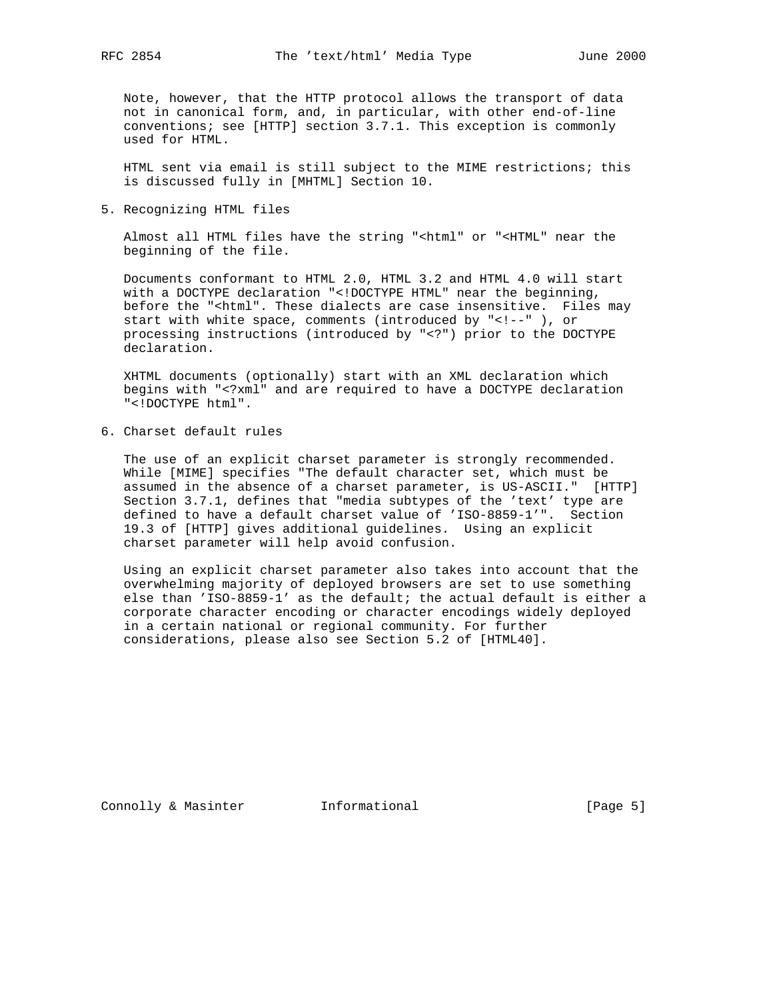Note, however, that the HTTP protocol allows the transport of data not in canonical form, and, in particular, with other end-of-line conventions; see [HTTP] section 3.7.1. This exception is commonly used for HTML.

 HTML sent via email is still subject to the MIME restrictions; this is discussed fully in [MHTML] Section 10.

5. Recognizing HTML files

 Almost all HTML files have the string "<html" or "<HTML" near the beginning of the file.

 Documents conformant to HTML 2.0, HTML 3.2 and HTML 4.0 will start with a DOCTYPE declaration "<!DOCTYPE HTML" near the beginning, before the "<html". These dialects are case insensitive. Files may start with white space, comments (introduced by "<!--" ), or processing instructions (introduced by "<?") prior to the DOCTYPE declaration.

 XHTML documents (optionally) start with an XML declaration which begins with "<?xml" and are required to have a DOCTYPE declaration "<!DOCTYPE html".

6. Charset default rules

 The use of an explicit charset parameter is strongly recommended. While [MIME] specifies "The default character set, which must be assumed in the absence of a charset parameter, is US-ASCII." [HTTP] Section 3.7.1, defines that "media subtypes of the 'text' type are defined to have a default charset value of 'ISO-8859-1'". Section 19.3 of [HTTP] gives additional guidelines. Using an explicit charset parameter will help avoid confusion.

 Using an explicit charset parameter also takes into account that the overwhelming majority of deployed browsers are set to use something else than 'ISO-8859-1' as the default; the actual default is either a corporate character encoding or character encodings widely deployed in a certain national or regional community. For further considerations, please also see Section 5.2 of [HTML40].

Connolly & Masinter **Informational** [Page 5]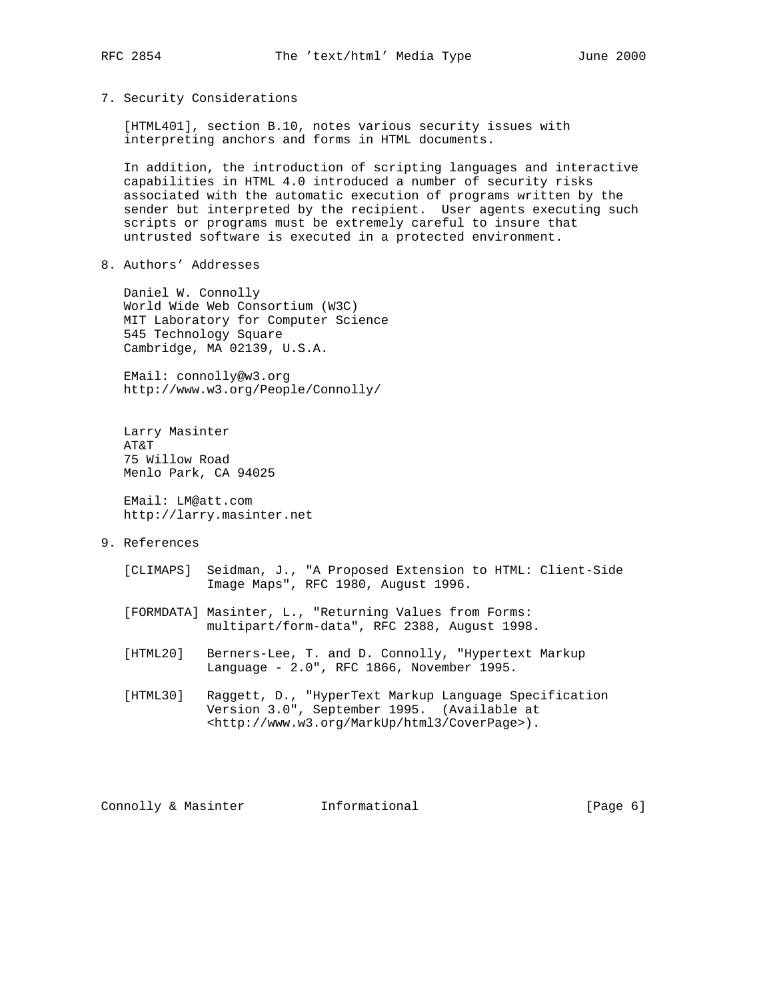7. Security Considerations

 [HTML401], section B.10, notes various security issues with interpreting anchors and forms in HTML documents.

 In addition, the introduction of scripting languages and interactive capabilities in HTML 4.0 introduced a number of security risks associated with the automatic execution of programs written by the sender but interpreted by the recipient. User agents executing such scripts or programs must be extremely careful to insure that untrusted software is executed in a protected environment.

8. Authors' Addresses

 Daniel W. Connolly World Wide Web Consortium (W3C) MIT Laboratory for Computer Science 545 Technology Square Cambridge, MA 02139, U.S.A.

 EMail: connolly@w3.org http://www.w3.org/People/Connolly/

 Larry Masinter AT&T 75 Willow Road Menlo Park, CA 94025

 EMail: LM@att.com http://larry.masinter.net

- 9. References
	- [CLIMAPS] Seidman, J., "A Proposed Extension to HTML: Client-Side Image Maps", RFC 1980, August 1996.
	- [FORMDATA] Masinter, L., "Returning Values from Forms: multipart/form-data", RFC 2388, August 1998.
	- [HTML20] Berners-Lee, T. and D. Connolly, "Hypertext Markup Language - 2.0", RFC 1866, November 1995.
	- [HTML30] Raggett, D., "HyperText Markup Language Specification Version 3.0", September 1995. (Available at <http://www.w3.org/MarkUp/html3/CoverPage>).

Connolly & Masinter **Informational** [Page 6]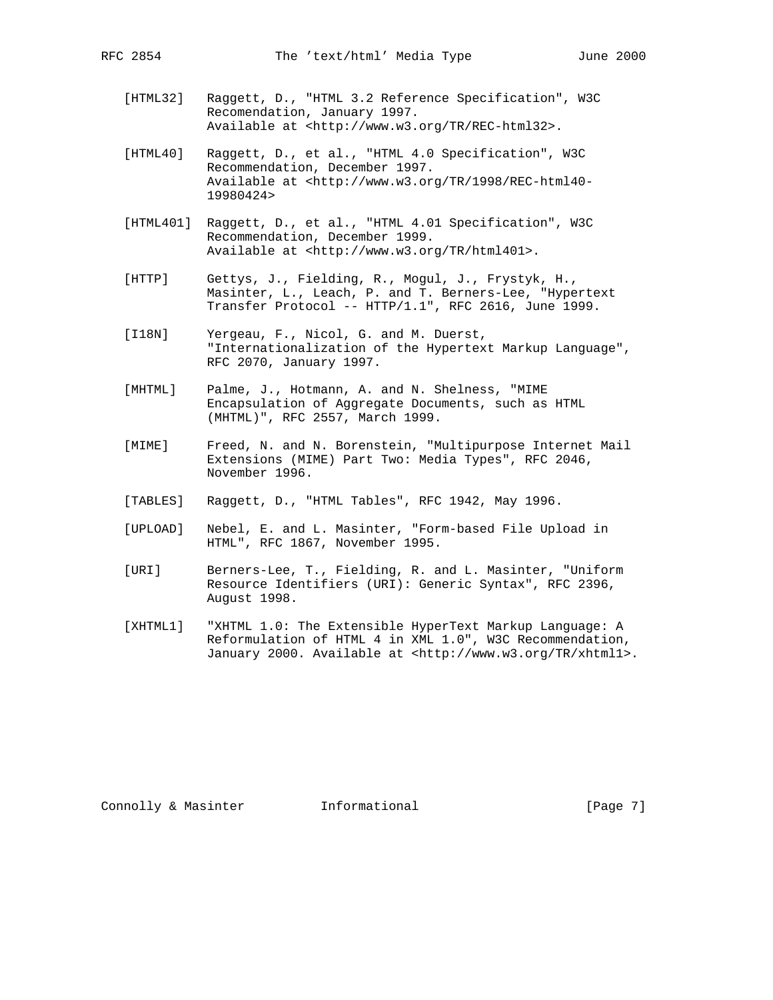- [HTML32] Raggett, D., "HTML 3.2 Reference Specification", W3C Recomendation, January 1997. Available at <http://www.w3.org/TR/REC-html32>.
- [HTML40] Raggett, D., et al., "HTML 4.0 Specification", W3C Recommendation, December 1997. Available at <http://www.w3.org/TR/1998/REC-html40- 19980424>
- [HTML401] Raggett, D., et al., "HTML 4.01 Specification", W3C Recommendation, December 1999. Available at <http://www.w3.org/TR/html401>.
- [HTTP] Gettys, J., Fielding, R., Mogul, J., Frystyk, H., Masinter, L., Leach, P. and T. Berners-Lee, "Hypertext Transfer Protocol -- HTTP/1.1", RFC 2616, June 1999.
- [I18N] Yergeau, F., Nicol, G. and M. Duerst, "Internationalization of the Hypertext Markup Language", RFC 2070, January 1997.
- [MHTML] Palme, J., Hotmann, A. and N. Shelness, "MIME Encapsulation of Aggregate Documents, such as HTML (MHTML)", RFC 2557, March 1999.
- [MIME] Freed, N. and N. Borenstein, "Multipurpose Internet Mail Extensions (MIME) Part Two: Media Types", RFC 2046, November 1996.
- [TABLES] Raggett, D., "HTML Tables", RFC 1942, May 1996.
- [UPLOAD] Nebel, E. and L. Masinter, "Form-based File Upload in HTML", RFC 1867, November 1995.
- [URI] Berners-Lee, T., Fielding, R. and L. Masinter, "Uniform Resource Identifiers (URI): Generic Syntax", RFC 2396, August 1998.
- [XHTML1] "XHTML 1.0: The Extensible HyperText Markup Language: A Reformulation of HTML 4 in XML 1.0", W3C Recommendation, January 2000. Available at <http://www.w3.org/TR/xhtml1>.

Connolly & Masinter **Informational** [Page 7]